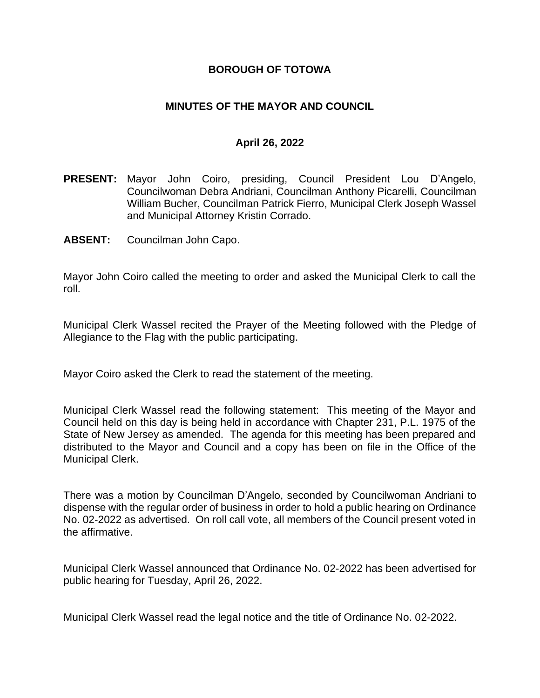## **BOROUGH OF TOTOWA**

## **MINUTES OF THE MAYOR AND COUNCIL**

#### **April 26, 2022**

- **PRESENT:** Mayor John Coiro, presiding, Council President Lou D'Angelo, Councilwoman Debra Andriani, Councilman Anthony Picarelli, Councilman William Bucher, Councilman Patrick Fierro, Municipal Clerk Joseph Wassel and Municipal Attorney Kristin Corrado.
- **ABSENT:** Councilman John Capo.

Mayor John Coiro called the meeting to order and asked the Municipal Clerk to call the roll.

Municipal Clerk Wassel recited the Prayer of the Meeting followed with the Pledge of Allegiance to the Flag with the public participating.

Mayor Coiro asked the Clerk to read the statement of the meeting.

Municipal Clerk Wassel read the following statement: This meeting of the Mayor and Council held on this day is being held in accordance with Chapter 231, P.L. 1975 of the State of New Jersey as amended. The agenda for this meeting has been prepared and distributed to the Mayor and Council and a copy has been on file in the Office of the Municipal Clerk.

There was a motion by Councilman D'Angelo, seconded by Councilwoman Andriani to dispense with the regular order of business in order to hold a public hearing on Ordinance No. 02-2022 as advertised. On roll call vote, all members of the Council present voted in the affirmative.

Municipal Clerk Wassel announced that Ordinance No. 02-2022 has been advertised for public hearing for Tuesday, April 26, 2022.

Municipal Clerk Wassel read the legal notice and the title of Ordinance No. 02-2022.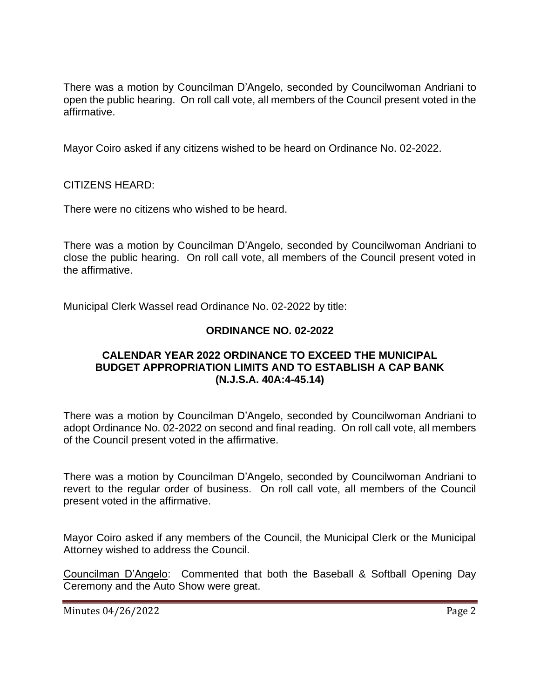There was a motion by Councilman D'Angelo, seconded by Councilwoman Andriani to open the public hearing. On roll call vote, all members of the Council present voted in the affirmative.

Mayor Coiro asked if any citizens wished to be heard on Ordinance No. 02-2022.

CITIZENS HEARD:

There were no citizens who wished to be heard.

There was a motion by Councilman D'Angelo, seconded by Councilwoman Andriani to close the public hearing. On roll call vote, all members of the Council present voted in the affirmative.

Municipal Clerk Wassel read Ordinance No. 02-2022 by title:

## **ORDINANCE NO. 02-2022**

## **CALENDAR YEAR 2022 ORDINANCE TO EXCEED THE MUNICIPAL BUDGET APPROPRIATION LIMITS AND TO ESTABLISH A CAP BANK (N.J.S.A. 40A:4-45.14)**

There was a motion by Councilman D'Angelo, seconded by Councilwoman Andriani to adopt Ordinance No. 02-2022 on second and final reading. On roll call vote, all members of the Council present voted in the affirmative.

There was a motion by Councilman D'Angelo, seconded by Councilwoman Andriani to revert to the regular order of business. On roll call vote, all members of the Council present voted in the affirmative.

Mayor Coiro asked if any members of the Council, the Municipal Clerk or the Municipal Attorney wished to address the Council.

Councilman D'Angelo: Commented that both the Baseball & Softball Opening Day Ceremony and the Auto Show were great.

Minutes 04/26/2022 **Page 2**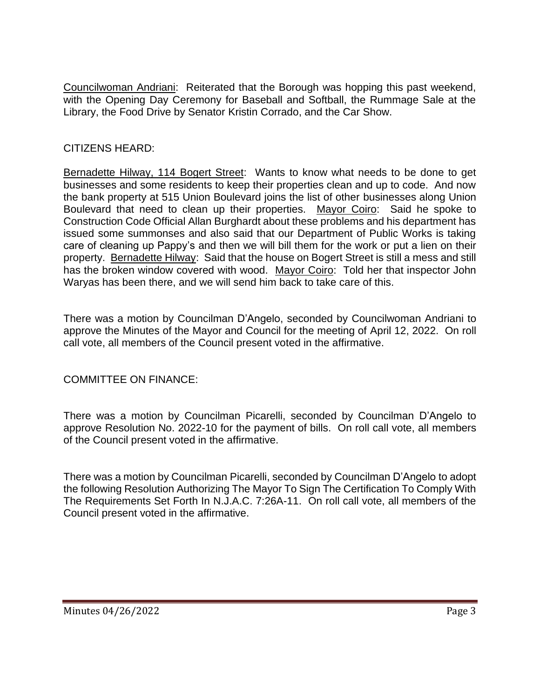Councilwoman Andriani: Reiterated that the Borough was hopping this past weekend, with the Opening Day Ceremony for Baseball and Softball, the Rummage Sale at the Library, the Food Drive by Senator Kristin Corrado, and the Car Show.

# CITIZENS HEARD:

Bernadette Hilway, 114 Bogert Street: Wants to know what needs to be done to get businesses and some residents to keep their properties clean and up to code. And now the bank property at 515 Union Boulevard joins the list of other businesses along Union Boulevard that need to clean up their properties. Mayor Coiro: Said he spoke to Construction Code Official Allan Burghardt about these problems and his department has issued some summonses and also said that our Department of Public Works is taking care of cleaning up Pappy's and then we will bill them for the work or put a lien on their property. Bernadette Hilway: Said that the house on Bogert Street is still a mess and still has the broken window covered with wood. Mayor Coiro: Told her that inspector John Waryas has been there, and we will send him back to take care of this.

There was a motion by Councilman D'Angelo, seconded by Councilwoman Andriani to approve the Minutes of the Mayor and Council for the meeting of April 12, 2022. On roll call vote, all members of the Council present voted in the affirmative.

COMMITTEE ON FINANCE:

There was a motion by Councilman Picarelli, seconded by Councilman D'Angelo to approve Resolution No. 2022-10 for the payment of bills. On roll call vote, all members of the Council present voted in the affirmative.

There was a motion by Councilman Picarelli, seconded by Councilman D'Angelo to adopt the following Resolution Authorizing The Mayor To Sign The Certification To Comply With The Requirements Set Forth In N.J.A.C. 7:26A-11. On roll call vote, all members of the Council present voted in the affirmative.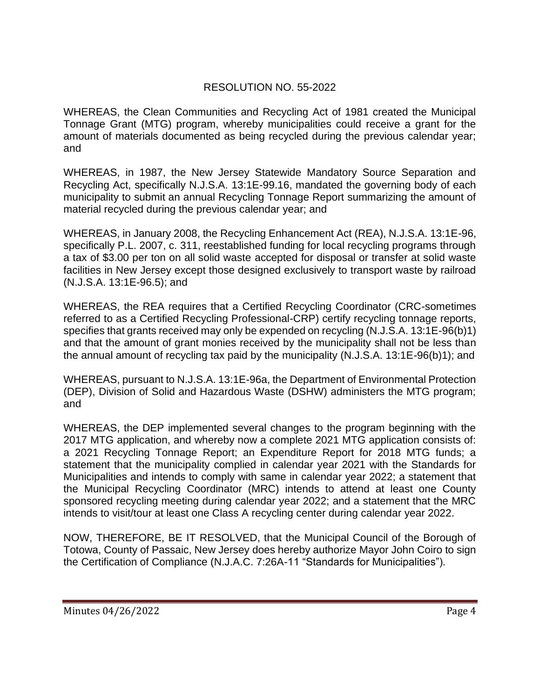# RESOLUTION NO. 55-2022

WHEREAS, the Clean Communities and Recycling Act of 1981 created the Municipal Tonnage Grant (MTG) program, whereby municipalities could receive a grant for the amount of materials documented as being recycled during the previous calendar year; and

WHEREAS, in 1987, the New Jersey Statewide Mandatory Source Separation and Recycling Act, specifically N.J.S.A. 13:1E-99.16, mandated the governing body of each municipality to submit an annual Recycling Tonnage Report summarizing the amount of material recycled during the previous calendar year; and

WHEREAS, in January 2008, the Recycling Enhancement Act (REA), N.J.S.A. 13:1E-96, specifically P.L. 2007, c. 311, reestablished funding for local recycling programs through a tax of \$3.00 per ton on all solid waste accepted for disposal or transfer at solid waste facilities in New Jersey except those designed exclusively to transport waste by railroad (N.J.S.A. 13:1E-96.5); and

WHEREAS, the REA requires that a Certified Recycling Coordinator (CRC-sometimes referred to as a Certified Recycling Professional-CRP) certify recycling tonnage reports, specifies that grants received may only be expended on recycling (N.J.S.A. 13:1E-96(b)1) and that the amount of grant monies received by the municipality shall not be less than the annual amount of recycling tax paid by the municipality (N.J.S.A. 13:1E-96(b)1); and

WHEREAS, pursuant to N.J.S.A. 13:1E-96a, the Department of Environmental Protection (DEP), Division of Solid and Hazardous Waste (DSHW) administers the MTG program; and

WHEREAS, the DEP implemented several changes to the program beginning with the 2017 MTG application, and whereby now a complete 2021 MTG application consists of: a 2021 Recycling Tonnage Report; an Expenditure Report for 2018 MTG funds; a statement that the municipality complied in calendar year 2021 with the Standards for Municipalities and intends to comply with same in calendar year 2022; a statement that the Municipal Recycling Coordinator (MRC) intends to attend at least one County sponsored recycling meeting during calendar year 2022; and a statement that the MRC intends to visit/tour at least one Class A recycling center during calendar year 2022.

NOW, THEREFORE, BE IT RESOLVED, that the Municipal Council of the Borough of Totowa, County of Passaic, New Jersey does hereby authorize Mayor John Coiro to sign the Certification of Compliance (N.J.A.C. 7:26A-11 "Standards for Municipalities").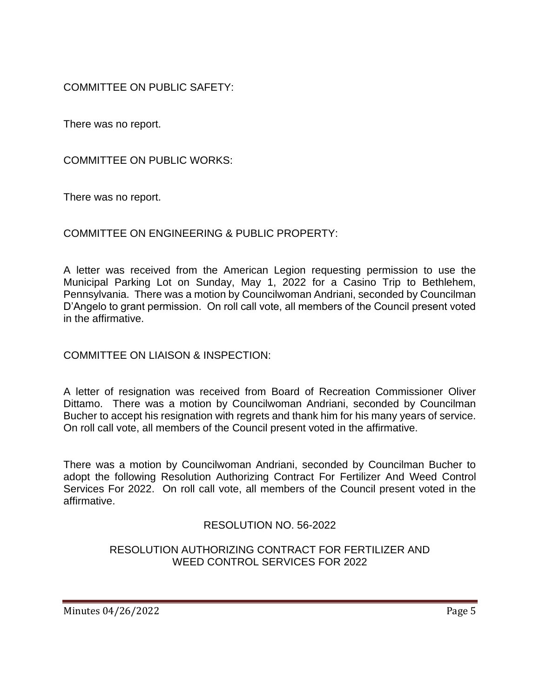COMMITTEE ON PUBLIC SAFETY:

There was no report.

COMMITTEE ON PUBLIC WORKS:

There was no report.

COMMITTEE ON ENGINEERING & PUBLIC PROPERTY:

A letter was received from the American Legion requesting permission to use the Municipal Parking Lot on Sunday, May 1, 2022 for a Casino Trip to Bethlehem, Pennsylvania. There was a motion by Councilwoman Andriani, seconded by Councilman D'Angelo to grant permission. On roll call vote, all members of the Council present voted in the affirmative.

COMMITTEE ON LIAISON & INSPECTION:

A letter of resignation was received from Board of Recreation Commissioner Oliver Dittamo. There was a motion by Councilwoman Andriani, seconded by Councilman Bucher to accept his resignation with regrets and thank him for his many years of service. On roll call vote, all members of the Council present voted in the affirmative.

There was a motion by Councilwoman Andriani, seconded by Councilman Bucher to adopt the following Resolution Authorizing Contract For Fertilizer And Weed Control Services For 2022. On roll call vote, all members of the Council present voted in the affirmative.

# RESOLUTION NO. 56-2022

# RESOLUTION AUTHORIZING CONTRACT FOR FERTILIZER AND WEED CONTROL SERVICES FOR 2022

Minutes 04/26/2022 **Page 5**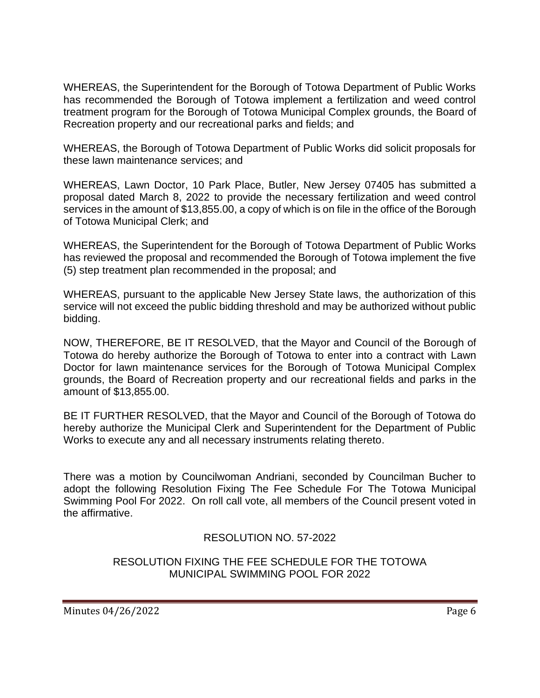WHEREAS, the Superintendent for the Borough of Totowa Department of Public Works has recommended the Borough of Totowa implement a fertilization and weed control treatment program for the Borough of Totowa Municipal Complex grounds, the Board of Recreation property and our recreational parks and fields; and

WHEREAS, the Borough of Totowa Department of Public Works did solicit proposals for these lawn maintenance services; and

WHEREAS, Lawn Doctor, 10 Park Place, Butler, New Jersey 07405 has submitted a proposal dated March 8, 2022 to provide the necessary fertilization and weed control services in the amount of \$13,855.00, a copy of which is on file in the office of the Borough of Totowa Municipal Clerk; and

WHEREAS, the Superintendent for the Borough of Totowa Department of Public Works has reviewed the proposal and recommended the Borough of Totowa implement the five (5) step treatment plan recommended in the proposal; and

WHEREAS, pursuant to the applicable New Jersey State laws, the authorization of this service will not exceed the public bidding threshold and may be authorized without public bidding.

NOW, THEREFORE, BE IT RESOLVED, that the Mayor and Council of the Borough of Totowa do hereby authorize the Borough of Totowa to enter into a contract with Lawn Doctor for lawn maintenance services for the Borough of Totowa Municipal Complex grounds, the Board of Recreation property and our recreational fields and parks in the amount of \$13,855.00.

BE IT FURTHER RESOLVED, that the Mayor and Council of the Borough of Totowa do hereby authorize the Municipal Clerk and Superintendent for the Department of Public Works to execute any and all necessary instruments relating thereto.

There was a motion by Councilwoman Andriani, seconded by Councilman Bucher to adopt the following Resolution Fixing The Fee Schedule For The Totowa Municipal Swimming Pool For 2022. On roll call vote, all members of the Council present voted in the affirmative.

# RESOLUTION NO. 57-2022

## RESOLUTION FIXING THE FEE SCHEDULE FOR THE TOTOWA MUNICIPAL SWIMMING POOL FOR 2022

Minutes 04/26/2022 **Page 6**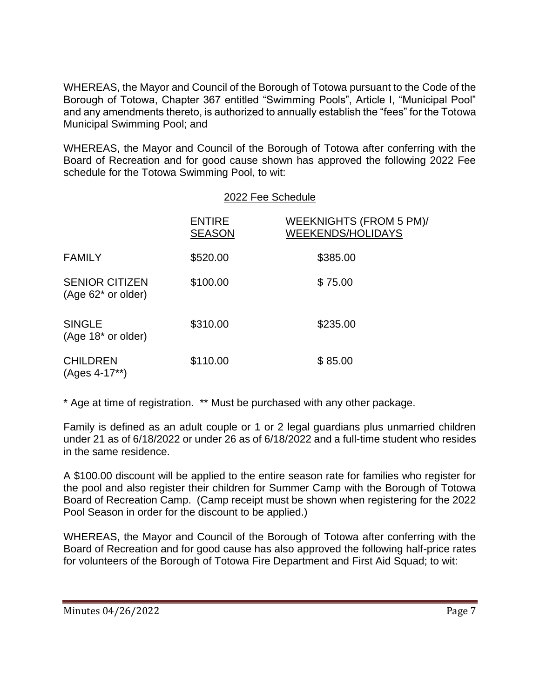WHEREAS, the Mayor and Council of the Borough of Totowa pursuant to the Code of the Borough of Totowa, Chapter 367 entitled "Swimming Pools", Article I, "Municipal Pool" and any amendments thereto, is authorized to annually establish the "fees" for the Totowa Municipal Swimming Pool; and

WHEREAS, the Mayor and Council of the Borough of Totowa after conferring with the Board of Recreation and for good cause shown has approved the following 2022 Fee schedule for the Totowa Swimming Pool, to wit:

|                                                | 2022 Fee Schedule              |                                                     |  |
|------------------------------------------------|--------------------------------|-----------------------------------------------------|--|
|                                                | <b>ENTIRE</b><br><b>SEASON</b> | WEEKNIGHTS (FROM 5 PM)/<br><b>WEEKENDS/HOLIDAYS</b> |  |
| <b>FAMILY</b>                                  | \$520.00                       | \$385.00                                            |  |
| <b>SENIOR CITIZEN</b><br>$(Age 62^*$ or older) | \$100.00                       | \$75.00                                             |  |
| <b>SINGLE</b><br>(Age 18* or older)            | \$310.00                       | \$235.00                                            |  |
| <b>CHILDREN</b><br>(Ages 4-17**)               | \$110.00                       | \$85.00                                             |  |

\* Age at time of registration. \*\* Must be purchased with any other package.

Family is defined as an adult couple or 1 or 2 legal guardians plus unmarried children under 21 as of 6/18/2022 or under 26 as of 6/18/2022 and a full-time student who resides in the same residence.

A \$100.00 discount will be applied to the entire season rate for families who register for the pool and also register their children for Summer Camp with the Borough of Totowa Board of Recreation Camp. (Camp receipt must be shown when registering for the 2022 Pool Season in order for the discount to be applied.)

WHEREAS, the Mayor and Council of the Borough of Totowa after conferring with the Board of Recreation and for good cause has also approved the following half-price rates for volunteers of the Borough of Totowa Fire Department and First Aid Squad; to wit: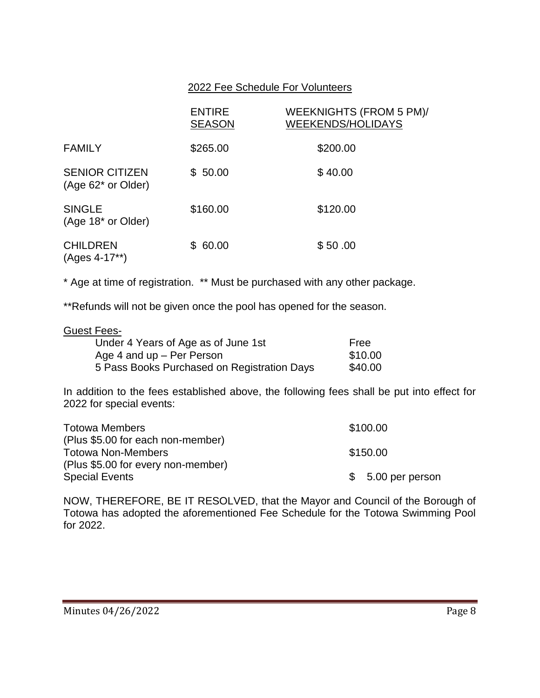## 2022 Fee Schedule For Volunteers

|                                                 | <b>ENTIRE</b><br><b>SEASON</b> | WEEKNIGHTS (FROM 5 PM)/<br><b>WEEKENDS/HOLIDAYS</b> |
|-------------------------------------------------|--------------------------------|-----------------------------------------------------|
| <b>FAMILY</b>                                   | \$265.00                       | \$200.00                                            |
| <b>SENIOR CITIZEN</b><br>(Age 62* or Older)     | \$50.00                        | \$40.00                                             |
| <b>SINGLE</b><br>(Age 18 <sup>*</sup> or Older) | \$160.00                       | \$120.00                                            |
| <b>CHILDREN</b><br>(Ages 4-17**)                | \$60.00                        | \$50.00                                             |

\* Age at time of registration. \*\* Must be purchased with any other package.

\*\*Refunds will not be given once the pool has opened for the season.

#### Guest Fees-

| Under 4 Years of Age as of June 1st         | Free    |
|---------------------------------------------|---------|
| Age 4 and $up$ – Per Person                 | \$10.00 |
| 5 Pass Books Purchased on Registration Days | \$40.00 |

In addition to the fees established above, the following fees shall be put into effect for 2022 for special events:

| <b>Totowa Members</b>              | \$100.00           |
|------------------------------------|--------------------|
| (Plus \$5.00 for each non-member)  |                    |
| <b>Totowa Non-Members</b>          | \$150.00           |
| (Plus \$5.00 for every non-member) |                    |
| <b>Special Events</b>              | $$5.00$ per person |

NOW, THEREFORE, BE IT RESOLVED, that the Mayor and Council of the Borough of Totowa has adopted the aforementioned Fee Schedule for the Totowa Swimming Pool for 2022.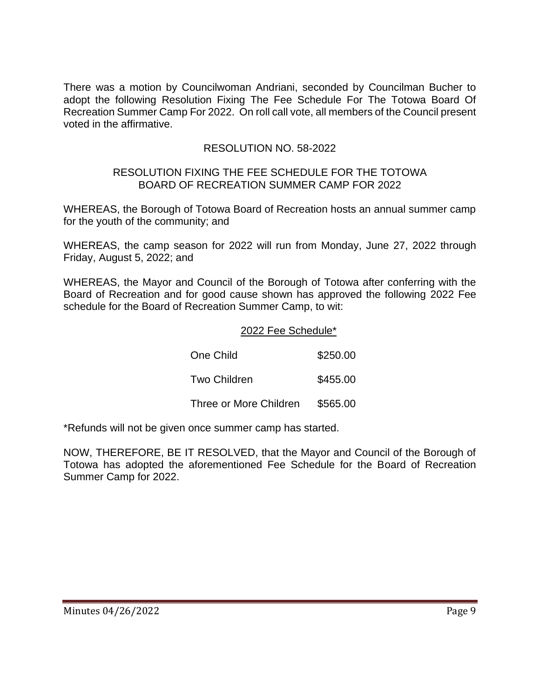There was a motion by Councilwoman Andriani, seconded by Councilman Bucher to adopt the following Resolution Fixing The Fee Schedule For The Totowa Board Of Recreation Summer Camp For 2022. On roll call vote, all members of the Council present voted in the affirmative.

# RESOLUTION NO. 58-2022

#### RESOLUTION FIXING THE FEE SCHEDULE FOR THE TOTOWA BOARD OF RECREATION SUMMER CAMP FOR 2022

WHEREAS, the Borough of Totowa Board of Recreation hosts an annual summer camp for the youth of the community; and

WHEREAS, the camp season for 2022 will run from Monday, June 27, 2022 through Friday, August 5, 2022; and

WHEREAS, the Mayor and Council of the Borough of Totowa after conferring with the Board of Recreation and for good cause shown has approved the following 2022 Fee schedule for the Board of Recreation Summer Camp, to wit:

## 2022 Fee Schedule\*

| One Child              | \$250.00 |
|------------------------|----------|
| Two Children           | \$455.00 |
| Three or More Children | \$565.00 |

\*Refunds will not be given once summer camp has started.

NOW, THEREFORE, BE IT RESOLVED, that the Mayor and Council of the Borough of Totowa has adopted the aforementioned Fee Schedule for the Board of Recreation Summer Camp for 2022.